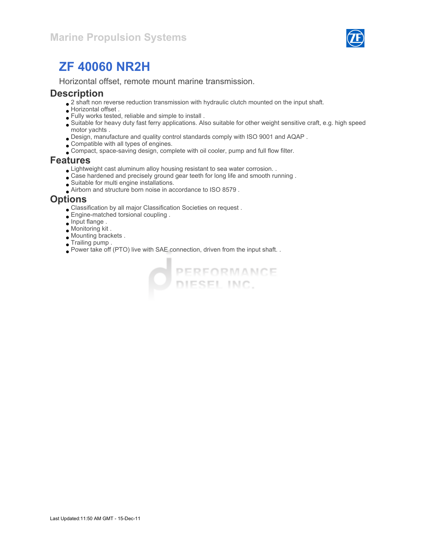

Horizontal offset, remote mount marine transmission.

#### **Description**

- $\bullet$  2 shaft non reverse reduction transmission with hydraulic clutch mounted on the input shaft.
- Horizontal offset .
- Fully works tested, reliable and simple to install .
- Suitable for heavy duty fast ferry applications. Also suitable for other weight sensitive craft, e.g. high speed motor yachts .
- Design, manufacture and quality control standards comply with ISO 9001 and AQAP .
- Compatible with all types of engines.
- Compact, space-saving design, complete with oil cooler, pump and full flow filter.

#### Features

- Lightweight cast aluminum alloy housing resistant to sea water corrosion. .
- Case hardened and precisely ground gear teeth for long life and smooth running .
- Suitable for multi engine installations.
- Airborn and structure born noise in accordance to ISO 8579 .

#### **Options**

- Classification by all major Classification Societies on request .
- Engine-matched torsional coupling .
- Input flange .
- Monitoring kit .
- Mounting brackets .
- Trailing pump .
- Power take off (PTO) live with SAE connection, driven from the input shaft. .

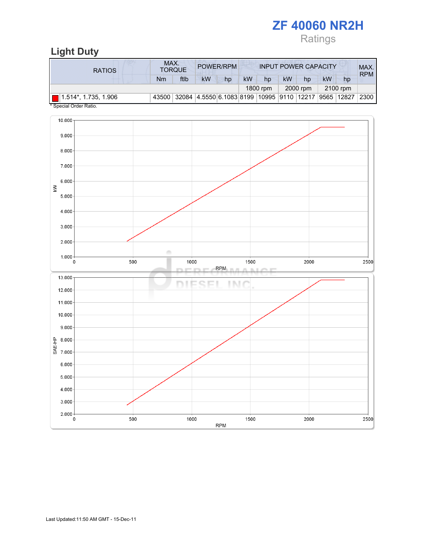# ZF 40060 NR2H Ratings

| MAX.<br>POWER/RPM<br><b>INPUT POWER CAPACITY</b><br><b>TORQUE</b>                                         |                    |
|-----------------------------------------------------------------------------------------------------------|--------------------|
| <b>RATIOS</b>                                                                                             | MAX.<br><b>RPM</b> |
| ftlb<br><b>kW</b><br><b>kW</b><br>kW<br>kW<br>Nm<br>hp<br>hp<br>hp<br>hp                                  |                    |
| 1800 rpm<br>2000 rpm<br>2100 rpm                                                                          |                    |
| 32084  4.5550 6.1083 8199   10995   9110   12217<br> 9565   12827<br>$\Box$ 1.514*, 1.735, 1.906<br>43500 | 2300               |

Special Order Ratio.

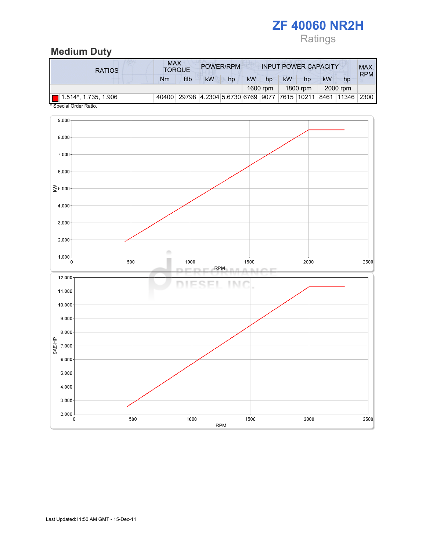# Ratings

### Medium Duty

| <b>RATIOS</b>                       | MAX. | <b>TORQUE</b> |                                                | POWER/RPM |           |          |           | <b>INPUT POWER CAPACITY</b> |           |            | MAX.<br><b>RPM</b> |
|-------------------------------------|------|---------------|------------------------------------------------|-----------|-----------|----------|-----------|-----------------------------|-----------|------------|--------------------|
|                                     | Nm   | ftlb          | kW                                             | hp        | <b>kW</b> | hp       | <b>kW</b> | hp                          | <b>kW</b> | hp         |                    |
|                                     |      |               |                                                |           |           | 1600 rpm |           | 1800 rpm                    |           | 2000 rpm   |                    |
| $\blacksquare$ 1.514*, 1.735, 1.906 |      |               | 40400 29798 4.2304 5.6730 6769 9077 7615 10211 |           |           |          |           |                             |           | 8461 11346 | 2300               |

Special Order Ratio.

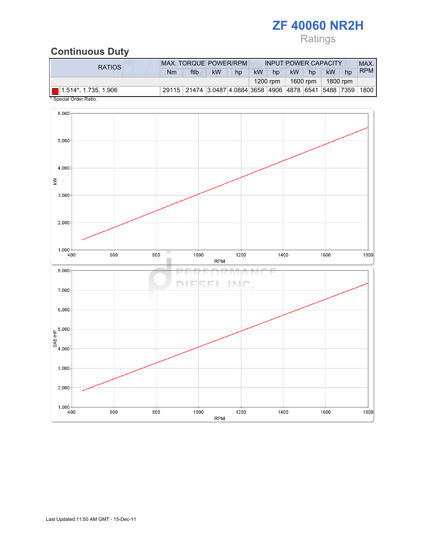# Ratings

# Continuous Duty

| RATIOS.                     | <b>MAX. TORQUE POWER/RPM</b><br><b>INPUT POWER CAPACITY</b> |                                                              |           |    |           |          |           |    |          | MAX. |            |
|-----------------------------|-------------------------------------------------------------|--------------------------------------------------------------|-----------|----|-----------|----------|-----------|----|----------|------|------------|
|                             | Nm                                                          | ftlb                                                         | <b>kW</b> | hp | <b>kW</b> | hp       | <b>kW</b> | hp | kW       | hp   | <b>RPM</b> |
|                             |                                                             |                                                              |           |    |           | 1200 rpm | 1600 rpm  |    | 1800 rpm |      |            |
| $\Box$ 1.514*, 1.735, 1.906 |                                                             | 29115 21474 3.0487 4.0884 3658 4906 4878 6541 5488 7359 1800 |           |    |           |          |           |    |          |      |            |

Special Order Ratio.

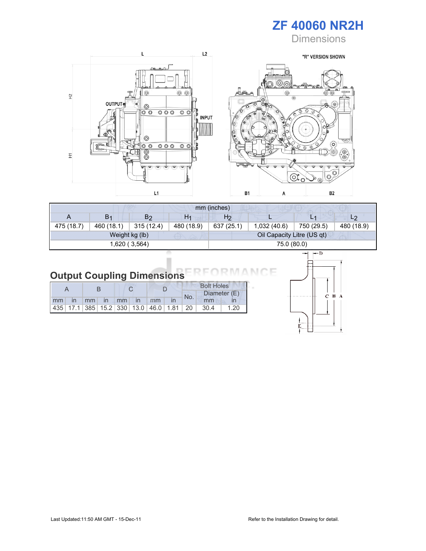

**Dimensions** 



| mm (inches) |                |                |                |            |                            |            |                |  |
|-------------|----------------|----------------|----------------|------------|----------------------------|------------|----------------|--|
| A           | B <sub>1</sub> | B <sub>2</sub> | H <sub>1</sub> | H2         |                            | L1         | L <sub>2</sub> |  |
| 475 (18.7)  | 460 (18.1)     | 315(12.4)      | 480 (18.9)     | 637 (25.1) | 1,032 (40.6)               | 750 (29.5) | 480 (18.9)     |  |
|             |                | Weight kg (lb) |                |            | Oil Capacity Litre (US qt) |            |                |  |
|             |                | 1,620 (3,564)  |                |            | 75.0 (80.0)                |            |                |  |

#### **Output Coupling Dimensions** ANCE **RM**

|  |  |  |                      |  |  | <b>Bolt Holes</b> |                                                                |      |  |  |
|--|--|--|----------------------|--|--|-------------------|----------------------------------------------------------------|------|--|--|
|  |  |  |                      |  |  | No.               | Diameter (E)                                                   |      |  |  |
|  |  |  | mm in mm in mm in mm |  |  |                   | mm                                                             |      |  |  |
|  |  |  |                      |  |  |                   | 435   17.1   385   15.2   330   13.0   46.0   1.81   20   30.4 | 1.20 |  |  |